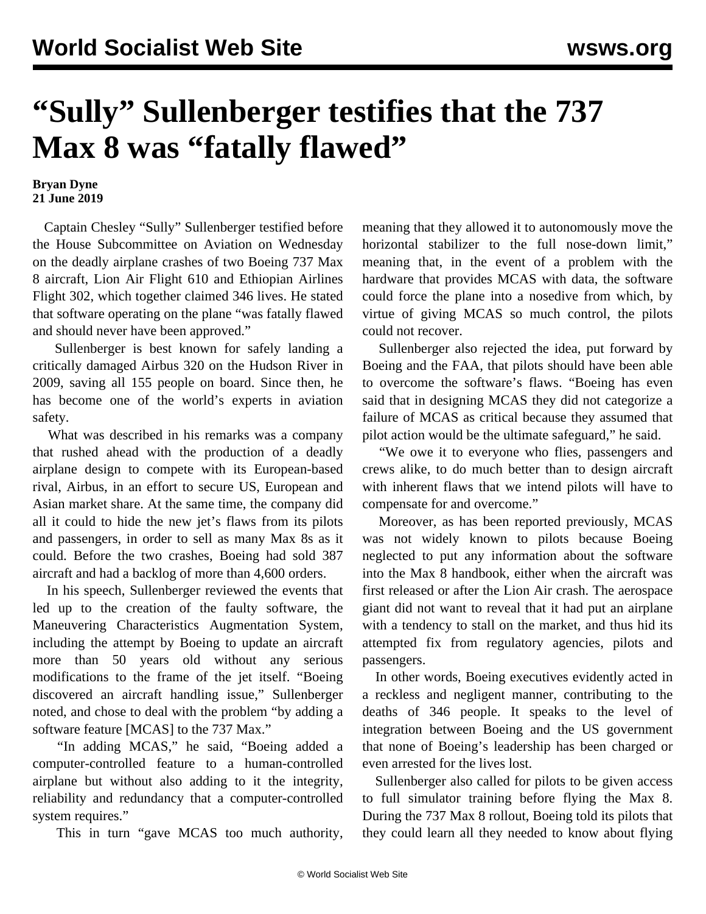## **"Sully" Sullenberger testifies that the 737 Max 8 was "fatally flawed"**

## **Bryan Dyne 21 June 2019**

 Captain Chesley "Sully" Sullenberger testified before the House Subcommittee on Aviation on Wednesday on the deadly airplane crashes of two Boeing 737 Max 8 aircraft, Lion Air Flight 610 and Ethiopian Airlines Flight 302, which together claimed 346 lives. He stated that software operating on the plane "was fatally flawed and should never have been approved."

 Sullenberger is best known for safely landing a critically damaged Airbus 320 on the Hudson River in 2009, saving all 155 people on board. Since then, he has become one of the world's experts in aviation safety.

 What was described in his remarks was a company that rushed ahead with the production of a deadly airplane design to compete with its European-based rival, Airbus, in an effort to secure US, European and Asian market share. At the same time, the company did all it could to hide the new jet's flaws from its pilots and passengers, in order to sell as many Max 8s as it could. Before the two crashes, Boeing had sold 387 aircraft and had a backlog of more than 4,600 orders.

 In his speech, Sullenberger reviewed the events that led up to the creation of the faulty software, the Maneuvering Characteristics Augmentation System, including the attempt by Boeing to update an aircraft more than 50 years old without any serious modifications to the frame of the jet itself. "Boeing discovered an aircraft handling issue," Sullenberger noted, and chose to deal with the problem "by adding a software feature [MCAS] to the 737 Max."

 "In adding MCAS," he said, "Boeing added a computer-controlled feature to a human-controlled airplane but without also adding to it the integrity, reliability and redundancy that a computer-controlled system requires."

This in turn "gave MCAS too much authority,

meaning that they allowed it to autonomously move the horizontal stabilizer to the full nose-down limit," meaning that, in the event of a problem with the hardware that provides MCAS with data, the software could force the plane into a nosedive from which, by virtue of giving MCAS so much control, the pilots could not recover.

 Sullenberger also rejected the idea, put forward by Boeing and the FAA, that pilots should have been able to overcome the software's flaws. "Boeing has even said that in designing MCAS they did not categorize a failure of MCAS as critical because they assumed that pilot action would be the ultimate safeguard," he said.

 "We owe it to everyone who flies, passengers and crews alike, to do much better than to design aircraft with inherent flaws that we intend pilots will have to compensate for and overcome."

 Moreover, as has been reported previously, MCAS was not widely known to pilots because Boeing neglected to put any information about the software into the Max 8 handbook, either when the aircraft was first released or after the Lion Air crash. The aerospace giant did not want to reveal that it had put an airplane with a tendency to stall on the market, and thus hid its attempted fix from regulatory agencies, pilots and passengers.

 In other words, Boeing executives evidently acted in a reckless and negligent manner, contributing to the deaths of 346 people. It speaks to the level of integration between Boeing and the US government that none of Boeing's leadership has been charged or even arrested for the lives lost.

 Sullenberger also called for pilots to be given access to full simulator training before flying the Max 8. During the 737 Max 8 rollout, Boeing told its pilots that they could learn all they needed to know about flying